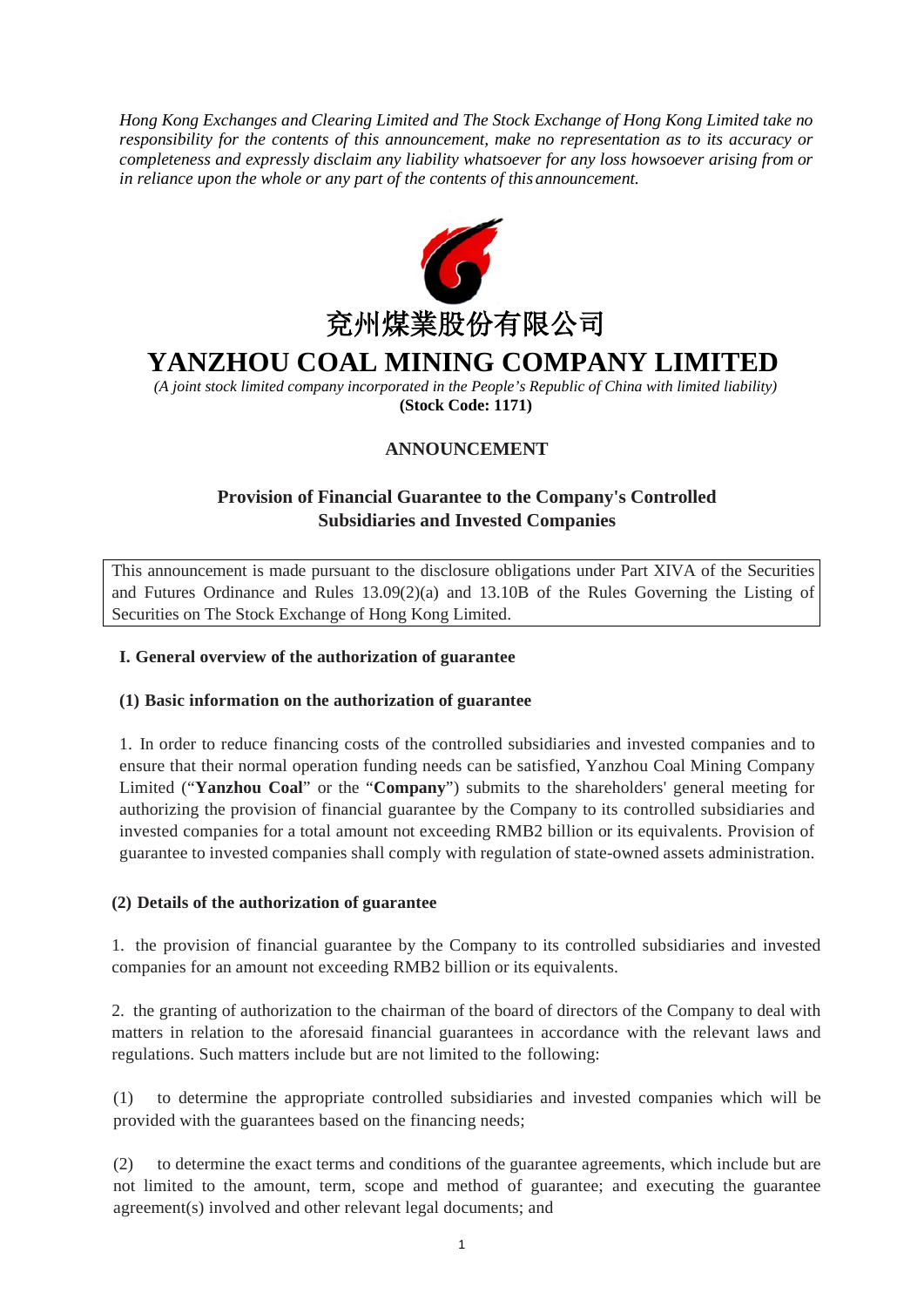*Hong Kong Exchanges and Clearing Limited and The Stock Exchange of Hong Kong Limited take no responsibility for the contents of this announcement, make no representation as to its accuracy or completeness and expressly disclaim any liability whatsoever for any loss howsoever arising from or in reliance upon the whole or any part of the contents of this announcement.*



# **YANZHOU COAL MINING COMPANY LIMITED**

*(A joint stock limited company incorporated in the People's Republic of China with limited liability)* **(Stock Code: 1171)**

# **ANNOUNCEMENT**

# **Provision of Financial Guarantee to the Company's Controlled Subsidiaries and Invested Companies**

This announcement is made pursuant to the disclosure obligations under Part XIVA of the Securities and Futures Ordinance and Rules 13.09(2)(a) and 13.10B of the Rules Governing the Listing of Securities on The Stock Exchange of Hong Kong Limited.

#### **I. General overview of the authorization of guarantee**

#### **(1) Basic information on the authorization of guarantee**

1. In order to reduce financing costs of the controlled subsidiaries and invested companies and to ensure that their normal operation funding needs can be satisfied, Yanzhou Coal Mining Company Limited ("**Yanzhou Coal**" or the "**Company**") submits to the shareholders' general meeting for authorizing the provision of financial guarantee by the Company to its controlled subsidiaries and invested companies for a total amount not exceeding RMB2 billion or its equivalents. Provision of guarantee to invested companies shall comply with regulation of state-owned assets administration.

#### **(2) Details of the authorization of guarantee**

1. the provision of financial guarantee by the Company to its controlled subsidiaries and invested companies for an amount not exceeding RMB2 billion or its equivalents.

2. the granting of authorization to the chairman of the board of directors of the Company to deal with matters in relation to the aforesaid financial guarantees in accordance with the relevant laws and regulations. Such matters include but are not limited to the following:

(1) to determine the appropriate controlled subsidiaries and invested companies which will be provided with the guarantees based on the financing needs;

(2) to determine the exact terms and conditions of the guarantee agreements, which include but are not limited to the amount, term, scope and method of guarantee; and executing the guarantee agreement(s) involved and other relevant legal documents; and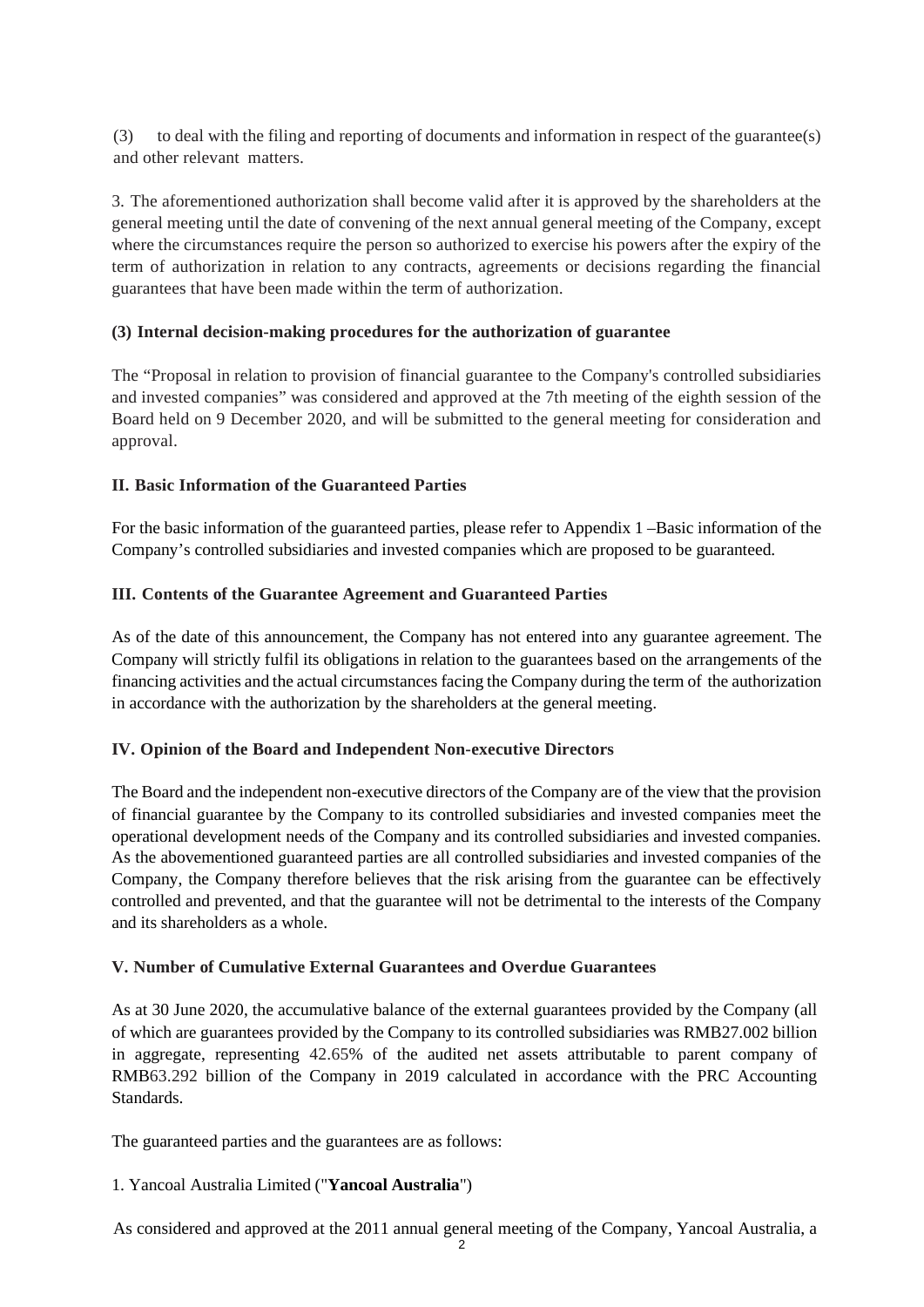(3) to deal with the filing and reporting of documents and information in respect of the guarantee(s) and other relevant matters.

3. The aforementioned authorization shall become valid after it is approved by the shareholders at the general meeting until the date of convening of the next annual general meeting of the Company, except where the circumstances require the person so authorized to exercise his powers after the expiry of the term of authorization in relation to any contracts, agreements or decisions regarding the financial guarantees that have been made within the term of authorization.

### **(3) Internal decision-making procedures for the authorization of guarantee**

The "Proposal in relation to provision of financial guarantee to the Company's controlled subsidiaries and invested companies" was considered and approved at the 7th meeting of the eighth session of the Board held on 9 December 2020, and will be submitted to the general meeting for consideration and approval.

### **II. Basic Information of the Guaranteed Parties**

For the basic information of the guaranteed parties, please refer to Appendix 1 –Basic information of the Company's controlled subsidiaries and invested companies which are proposed to be guaranteed.

#### **III. Contents of the Guarantee Agreement and Guaranteed Parties**

As of the date of this announcement, the Company has not entered into any guarantee agreement. The Company will strictly fulfil its obligations in relation to the guarantees based on the arrangements of the financing activities and the actual circumstances facing the Company during the term of the authorization in accordance with the authorization by the shareholders at the general meeting.

### **IV. Opinion of the Board and Independent Non-executive Directors**

The Board and the independent non-executive directors of the Company are of the view that the provision of financial guarantee by the Company to its controlled subsidiaries and invested companies meet the operational development needs of the Company and its controlled subsidiaries and invested companies. As the abovementioned guaranteed parties are all controlled subsidiaries and invested companies of the Company, the Company therefore believes that the risk arising from the guarantee can be effectively controlled and prevented, and that the guarantee will not be detrimental to the interests of the Company and its shareholders as a whole.

### **V. Number of Cumulative External Guarantees and Overdue Guarantees**

As at 30 June 2020, the accumulative balance of the external guarantees provided by the Company (all of which are guarantees provided by the Company to its controlled subsidiaries was RMB27.002 billion in aggregate, representing 42.65% of the audited net assets attributable to parent company of RMB63.292 billion of the Company in 2019 calculated in accordance with the PRC Accounting Standards.

The guaranteed parties and the guarantees are as follows:

### 1. Yancoal Australia Limited ("**Yancoal Australia**")

As considered and approved at the 2011 annual general meeting of the Company, Yancoal Australia, a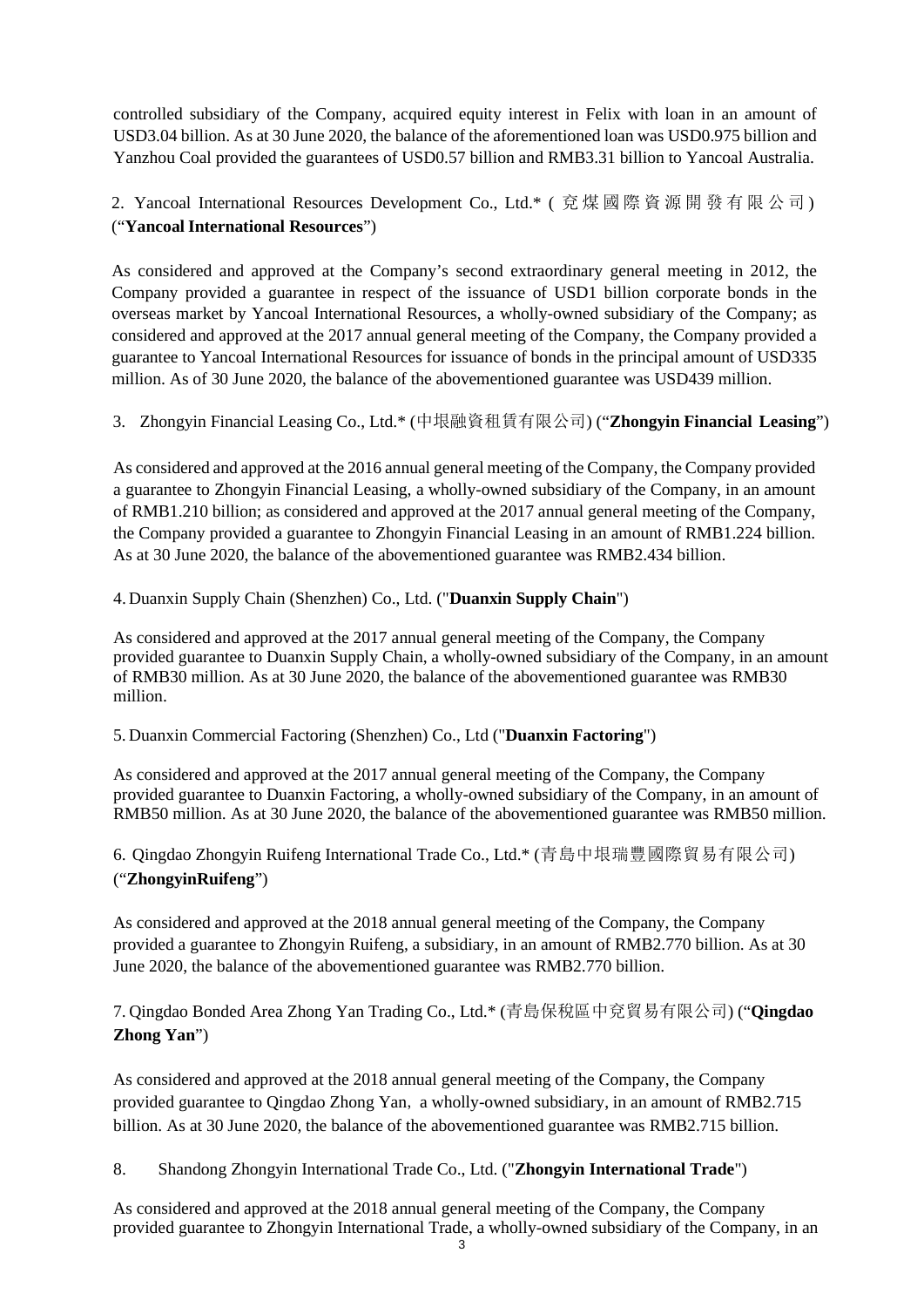controlled subsidiary of the Company, acquired equity interest in Felix with loan in an amount of USD3.04 billion. As at 30 June 2020, the balance of the aforementioned loan was USD0.975 billion and Yanzhou Coal provided the guarantees of USD0.57 billion and RMB3.31 billion to Yancoal Australia.

# 2. Yancoal International Resources Development Co., Ltd.\* ( 兗煤國際資源開發有限公司 ) ("**Yancoal International Resources**")

As considered and approved at the Company's second extraordinary general meeting in 2012, the Company provided a guarantee in respect of the issuance of USD1 billion corporate bonds in the overseas market by Yancoal International Resources, a wholly-owned subsidiary of the Company; as considered and approved at the 2017 annual general meeting of the Company, the Company provided a guarantee to Yancoal International Resources for issuance of bonds in the principal amount of USD335 million. As of 30 June 2020, the balance of the abovementioned guarantee was USD439 million.

## 3. Zhongyin Financial Leasing Co., Ltd.\* (中垠融資租賃有限公司) ("**Zhongyin Financial Leasing**")

As considered and approved at the 2016 annual general meeting of the Company, the Company provided a guarantee to Zhongyin Financial Leasing, a wholly-owned subsidiary of the Company, in an amount of RMB1.210 billion; as considered and approved at the 2017 annual general meeting of the Company, the Company provided a guarantee to Zhongyin Financial Leasing in an amount of RMB1.224 billion. As at 30 June 2020, the balance of the abovementioned guarantee was RMB2.434 billion.

## 4. Duanxin Supply Chain (Shenzhen) Co., Ltd. ("**Duanxin Supply Chain**")

As considered and approved at the 2017 annual general meeting of the Company, the Company provided guarantee to Duanxin Supply Chain, a wholly-owned subsidiary of the Company, in an amount of RMB30 million. As at 30 June 2020, the balance of the abovementioned guarantee was RMB30 million.

### 5. Duanxin Commercial Factoring (Shenzhen) Co., Ltd ("**Duanxin Factoring**")

As considered and approved at the 2017 annual general meeting of the Company, the Company provided guarantee to Duanxin Factoring, a wholly-owned subsidiary of the Company, in an amount of RMB50 million. As at 30 June 2020, the balance of the abovementioned guarantee was RMB50 million.

## 6. Qingdao Zhongyin Ruifeng International Trade Co., Ltd.\* (青島中垠瑞豐國際貿易有限公司) ("**ZhongyinRuifeng**")

As considered and approved at the 2018 annual general meeting of the Company, the Company provided a guarantee to Zhongyin Ruifeng, a subsidiary, in an amount of RMB2.770 billion. As at 30 June 2020, the balance of the abovementioned guarantee was RMB2.770 billion.

7. Qingdao Bonded Area Zhong Yan Trading Co., Ltd.\* (青島保稅區中兗貿易有限公司) ("**Qingdao Zhong Yan**")

As considered and approved at the 2018 annual general meeting of the Company, the Company provided guarantee to Qingdao Zhong Yan, a wholly-owned subsidiary, in an amount of RMB2.715 billion. As at 30 June 2020, the balance of the abovementioned guarantee was RMB2.715 billion.

## 8. Shandong Zhongyin International Trade Co., Ltd. ("**Zhongyin International Trade**")

As considered and approved at the 2018 annual general meeting of the Company, the Company provided guarantee to Zhongyin International Trade, a wholly-owned subsidiary of the Company, in an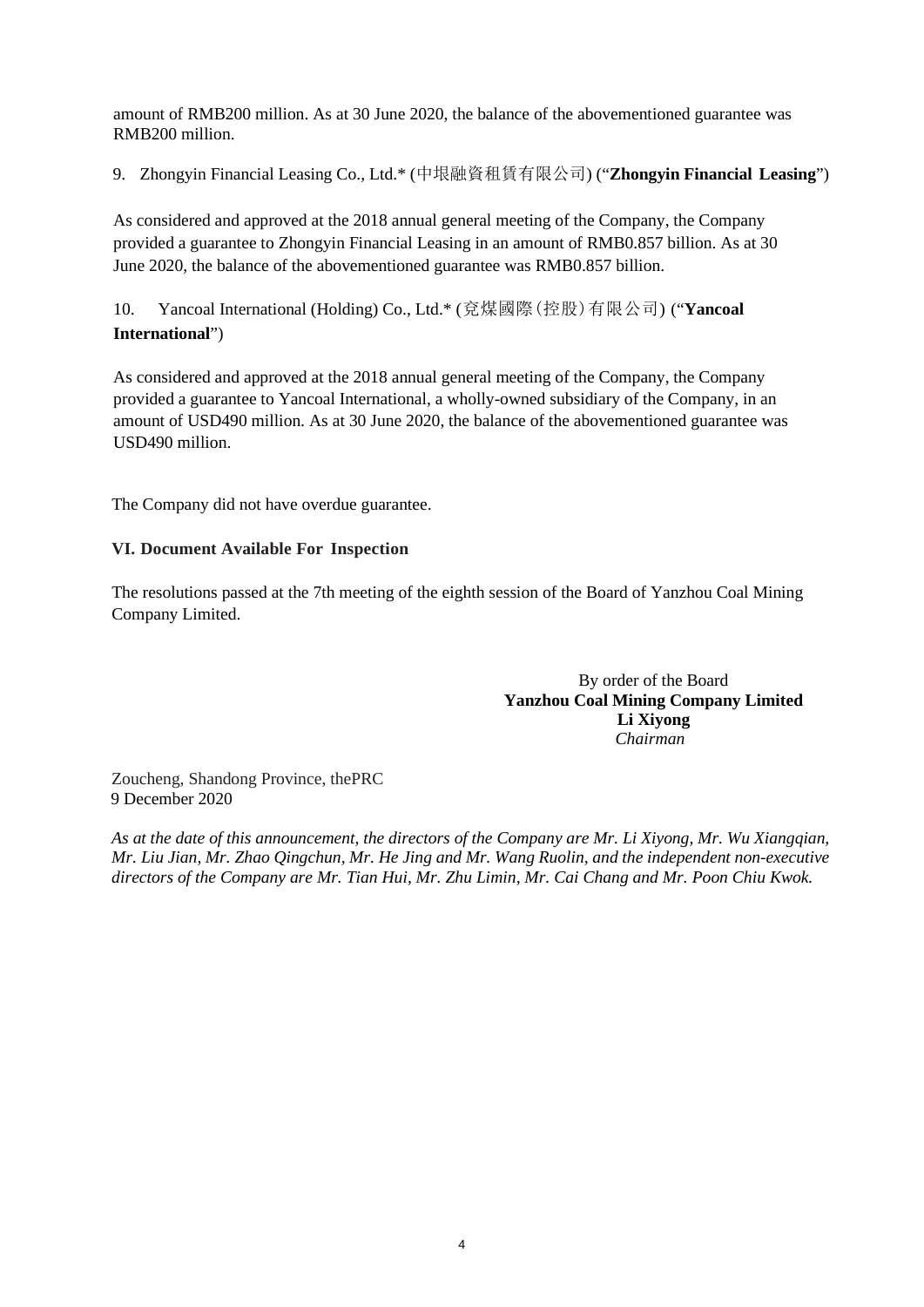amount of RMB200 million. As at 30 June 2020, the balance of the abovementioned guarantee was RMB200 million.

9. Zhongyin Financial Leasing Co., Ltd.\* (中垠融資租賃有限公司) ("**Zhongyin Financial Leasing**")

As considered and approved at the 2018 annual general meeting of the Company, the Company provided a guarantee to Zhongyin Financial Leasing in an amount of RMB0.857 billion. As at 30 June 2020, the balance of the abovementioned guarantee was RMB0.857 billion.

10. Yancoal International (Holding) Co., Ltd.\* (兗煤國際(控股)有限公司) ("**Yancoal International**")

As considered and approved at the 2018 annual general meeting of the Company, the Company provided a guarantee to Yancoal International, a wholly-owned subsidiary of the Company, in an amount of USD490 million. As at 30 June 2020, the balance of the abovementioned guarantee was USD490 million.

The Company did not have overdue guarantee.

#### **VI. Document Available For Inspection**

The resolutions passed at the 7th meeting of the eighth session of the Board of Yanzhou Coal Mining Company Limited.

> By order of the Board **Yanzhou Coal Mining Company Limited Li Xiyong** *Chairman*

Zoucheng, Shandong Province, thePRC 9 December 2020

*As at the date of this announcement, the directors of the Company are Mr. Li Xiyong, Mr. Wu Xiangqian, Mr. Liu Jian, Mr. Zhao Qingchun, Mr. He Jing and Mr. Wang Ruolin, and the independent non-executive directors of the Company are Mr. Tian Hui, Mr. Zhu Limin, Mr. Cai Chang and Mr. Poon Chiu Kwok.*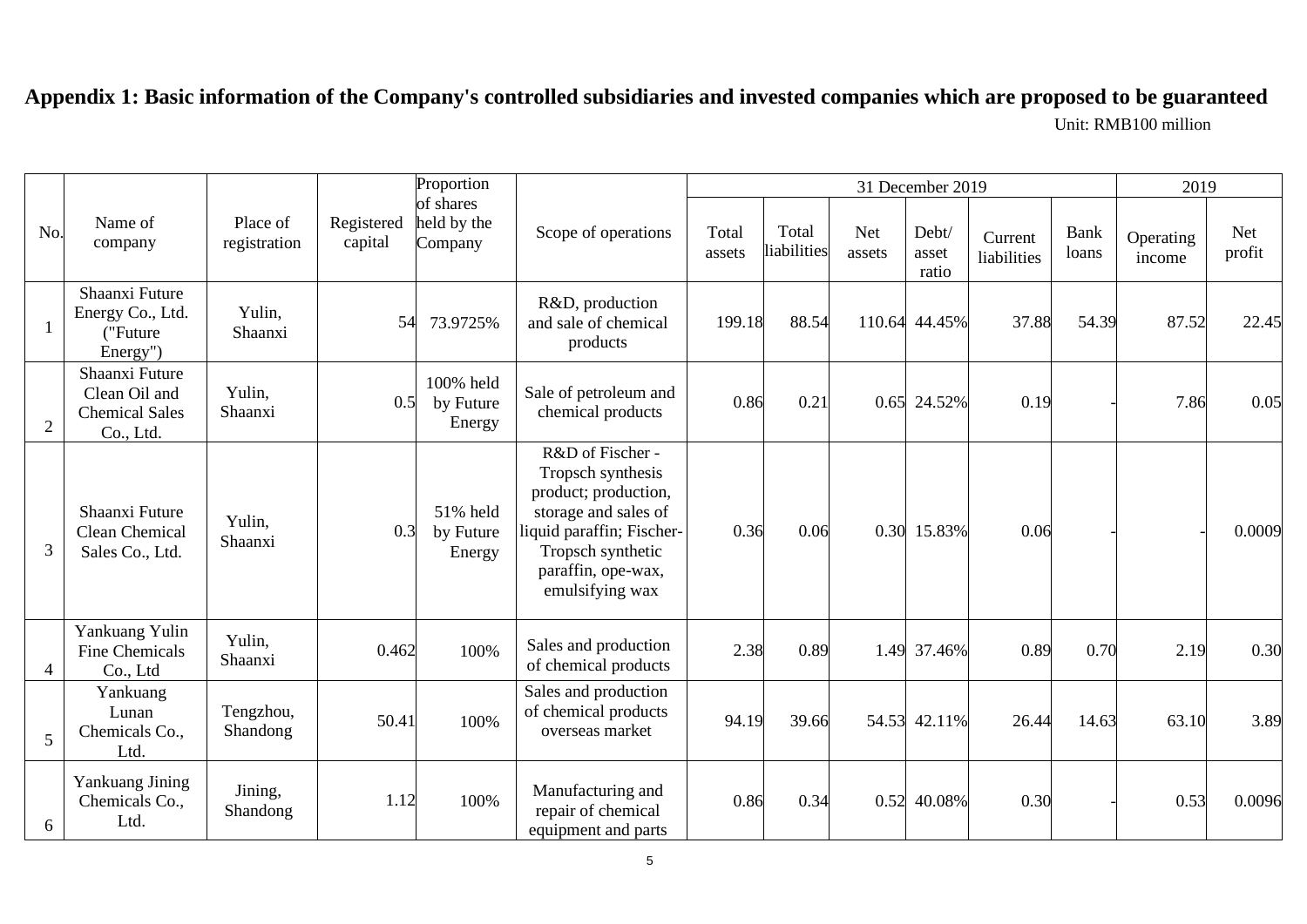# **Appendix 1: Basic information of the Company's controlled subsidiaries and invested companies which are proposed to be guaranteed** Unit: RMB100 million

|                |                                                                       |                          |                       | Proportion                          |                                                                                                                                                                                  |                 |                      | 2019                 |                         |                        |               |                     |                      |
|----------------|-----------------------------------------------------------------------|--------------------------|-----------------------|-------------------------------------|----------------------------------------------------------------------------------------------------------------------------------------------------------------------------------|-----------------|----------------------|----------------------|-------------------------|------------------------|---------------|---------------------|----------------------|
| No.            | Name of<br>company                                                    | Place of<br>registration | Registered<br>capital | of shares<br>held by the<br>Company | Scope of operations                                                                                                                                                              | Total<br>assets | Total<br>liabilities | <b>Net</b><br>assets | Debt/<br>asset<br>ratio | Current<br>liabilities | Bank<br>loans | Operating<br>income | <b>Net</b><br>profit |
| -1             | Shaanxi Future<br>Energy Co., Ltd.<br>("Future<br>Energy")            | Yulin,<br>Shaanxi        | 54                    | 73.9725%                            | R&D, production<br>and sale of chemical<br>products                                                                                                                              | 199.18          | 88.54                | 110.64               | 44.45%                  | 37.88                  | 54.39         | 87.52               | 22.45                |
| $\overline{2}$ | Shaanxi Future<br>Clean Oil and<br><b>Chemical Sales</b><br>Co., Ltd. | Yulin,<br>Shaanxi        | 0.5                   | 100% held<br>by Future<br>Energy    | Sale of petroleum and<br>chemical products                                                                                                                                       | 0.86            | 0.21                 | 0.65                 | 24.52%                  | 0.19                   |               | 7.86                | 0.05                 |
| 3              | Shaanxi Future<br>Clean Chemical<br>Sales Co., Ltd.                   | Yulin,<br>Shaanxi        | 0.3                   | 51% held<br>by Future<br>Energy     | R&D of Fischer -<br>Tropsch synthesis<br>product; production,<br>storage and sales of<br>liquid paraffin; Fischer-<br>Tropsch synthetic<br>paraffin, ope-wax,<br>emulsifying wax | 0.36            | 0.06                 |                      | 0.30 15.83%             | 0.06                   |               |                     | 0.0009               |
| 4              | Yankuang Yulin<br><b>Fine Chemicals</b><br>Co., Ltd                   | Yulin,<br>Shaanxi        | 0.462                 | 100%                                | Sales and production<br>of chemical products                                                                                                                                     | 2.38            | 0.89                 |                      | 1.49 37.46%             | 0.89                   | 0.70          | 2.19                | 0.30                 |
| 5              | Yankuang<br>Lunan<br>Chemicals Co.,<br>Ltd.                           | Tengzhou,<br>Shandong    | 50.41                 | 100%                                | Sales and production<br>of chemical products<br>overseas market                                                                                                                  | 94.19           | 39.66                | 54.53                | 42.11%                  | 26.44                  | 14.63         | 63.10               | 3.89                 |
| 6              | Yankuang Jining<br>Chemicals Co.,<br>Ltd.                             | Jining,<br>Shandong      | 1.12                  | 100%                                | Manufacturing and<br>repair of chemical<br>equipment and parts                                                                                                                   | 0.86            | 0.34                 | 0.52                 | 40.08%                  | 0.30                   |               | 0.53                | 0.0096               |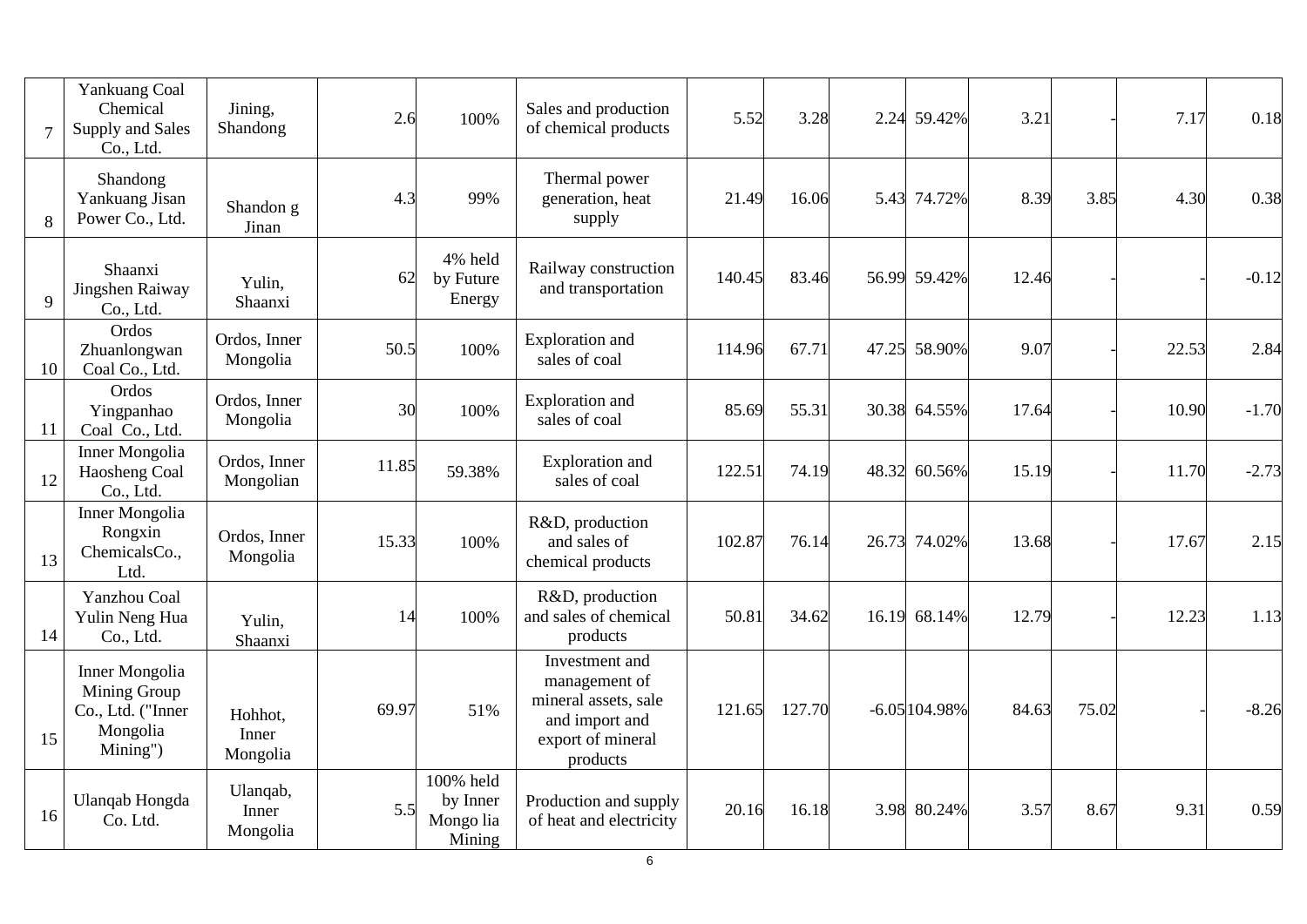| $\overline{7}$ | Yankuang Coal<br>Chemical<br>Supply and Sales<br>Co., Ltd.                  | Jining,<br>Shandong           | 2.6   | 100%                                         | Sales and production<br>of chemical products                                                               | 5.52   | 3.28   | 2.24  | 59.42%         | 3.21  |       | 7.17  | 0.18    |
|----------------|-----------------------------------------------------------------------------|-------------------------------|-------|----------------------------------------------|------------------------------------------------------------------------------------------------------------|--------|--------|-------|----------------|-------|-------|-------|---------|
| 8              | Shandong<br>Yankuang Jisan<br>Power Co., Ltd.                               | Shandon g<br>Jinan            | 4.3   | 99%                                          | Thermal power<br>generation, heat<br>supply                                                                | 21.49  | 16.06  |       | 5.43 74.72%    | 8.39  | 3.85  | 4.30  | 0.38    |
| 9              | Shaanxi<br>Jingshen Raiway<br>Co., Ltd.                                     | Yulin,<br>Shaanxi             | 62    | 4% held<br>by Future<br>Energy               | Railway construction<br>and transportation                                                                 | 140.45 | 83.46  |       | 56.99 59.42%   | 12.46 |       |       | $-0.12$ |
| 10             | Ordos<br>Zhuanlongwan<br>Coal Co., Ltd.                                     | Ordos, Inner<br>Mongolia      | 50.5  | 100%                                         | <b>Exploration</b> and<br>sales of coal                                                                    | 114.96 | 67.71  | 47.25 | 58.90%         | 9.07  |       | 22.53 | 2.84    |
| 11             | Ordos<br>Yingpanhao<br>Coal Co., Ltd.                                       | Ordos, Inner<br>Mongolia      | 30    | 100%                                         | <b>Exploration</b> and<br>sales of coal                                                                    | 85.69  | 55.31  | 30.38 | 64.55%         | 17.64 |       | 10.90 | $-1.70$ |
| 12             | <b>Inner Mongolia</b><br>Haosheng Coal<br>Co., Ltd.                         | Ordos, Inner<br>Mongolian     | 11.85 | 59.38%                                       | Exploration and<br>sales of coal                                                                           | 122.51 | 74.19  | 48.32 | 60.56%         | 15.19 |       | 11.70 | $-2.73$ |
| 13             | Inner Mongolia<br>Rongxin<br>ChemicalsCo.,<br>Ltd.                          | Ordos, Inner<br>Mongolia      | 15.33 | 100%                                         | R&D, production<br>and sales of<br>chemical products                                                       | 102.87 | 76.14  | 26.73 | 74.02%         | 13.68 |       | 17.67 | 2.15    |
| 14             | Yanzhou Coal<br>Yulin Neng Hua<br>Co., Ltd.                                 | Yulin,<br>Shaanxi             | 14    | 100%                                         | R&D, production<br>and sales of chemical<br>products                                                       | 50.81  | 34.62  | 16.19 | 68.14%         | 12.79 |       | 12.23 | 1.13    |
| 15             | Inner Mongolia<br>Mining Group<br>Co., Ltd. ("Inner<br>Mongolia<br>Mining") | Hohhot,<br>Inner<br>Mongolia  | 69.97 | 51%                                          | Investment and<br>management of<br>mineral assets, sale<br>and import and<br>export of mineral<br>products | 121.65 | 127.70 |       | $-6.05104.98%$ | 84.63 | 75.02 |       | $-8.26$ |
| 16             | <b>Ulanqab Hongda</b><br>Co. Ltd.                                           | Ulanqab,<br>Inner<br>Mongolia | 5.5   | 100% held<br>by Inner<br>Mongo lia<br>Mining | Production and supply<br>of heat and electricity                                                           | 20.16  | 16.18  | 3.98  | 80.24%         | 3.57  | 8.67  | 9.31  | 0.59    |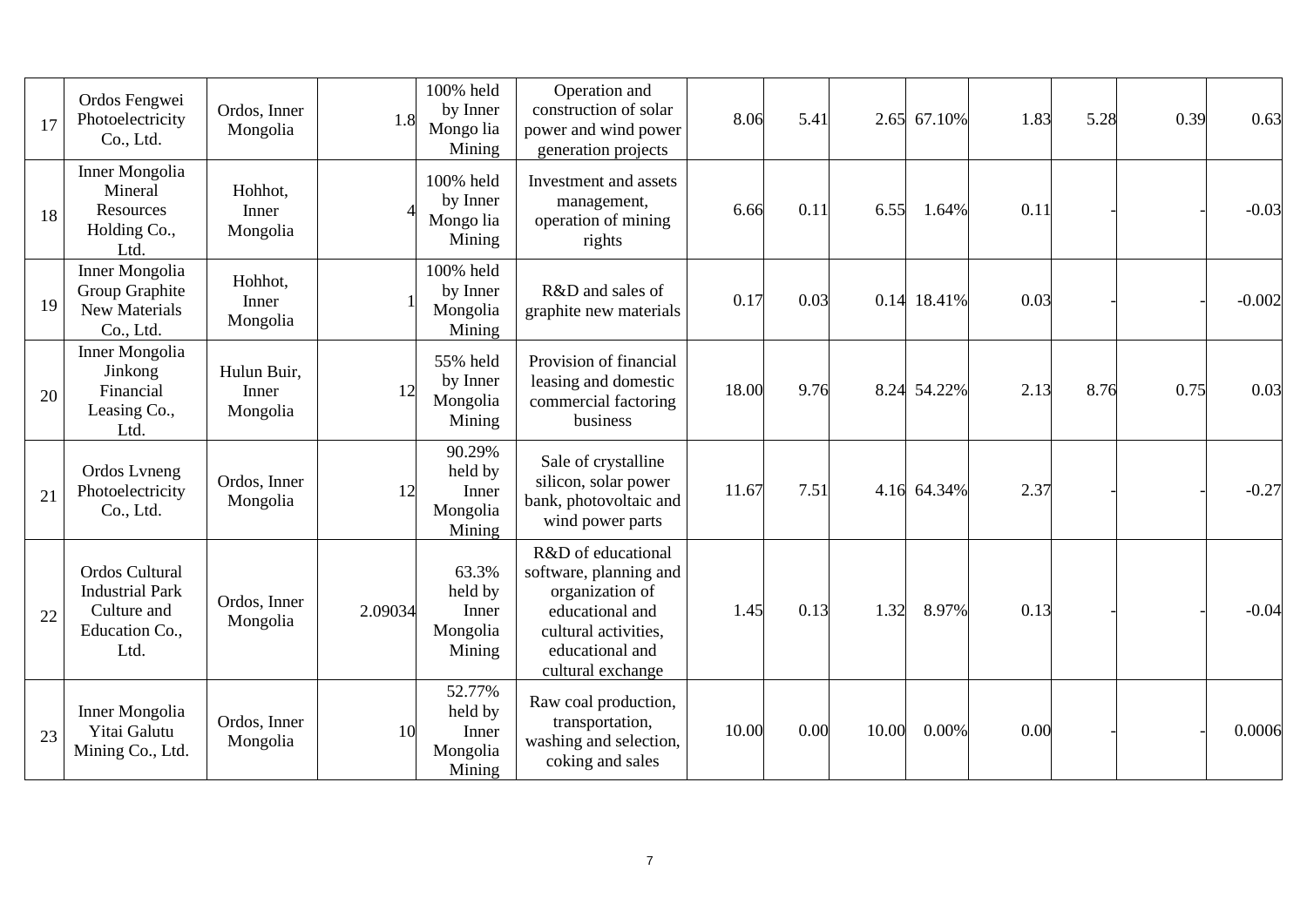| 17 | Ordos Fengwei<br>Photoelectricity<br>Co., Ltd.                                           | Ordos, Inner<br>Mongolia         | 1.8     | 100% held<br>by Inner<br>Mongo lia<br>Mining     | Operation and<br>construction of solar<br>power and wind power<br>generation projects                                                              | 8.06  | 5.41 | 2.65  | 67.10%      | 1.83 | 5.28 | 0.39 | 0.63     |
|----|------------------------------------------------------------------------------------------|----------------------------------|---------|--------------------------------------------------|----------------------------------------------------------------------------------------------------------------------------------------------------|-------|------|-------|-------------|------|------|------|----------|
| 18 | <b>Inner Mongolia</b><br>Mineral<br>Resources<br>Holding Co.,<br>Ltd.                    | Hohhot,<br>Inner<br>Mongolia     |         | 100% held<br>by Inner<br>Mongo lia<br>Mining     | Investment and assets<br>management,<br>operation of mining<br>rights                                                                              | 6.66  | 0.11 | 6.55  | 1.64%       | 0.11 |      |      | $-0.03$  |
| 19 | Inner Mongolia<br>Group Graphite<br>New Materials<br>Co., Ltd.                           | Hohhot,<br>Inner<br>Mongolia     |         | 100% held<br>by Inner<br>Mongolia<br>Mining      | R&D and sales of<br>graphite new materials                                                                                                         | 0.17  | 0.03 |       | 0.14 18.41% | 0.03 |      |      | $-0.002$ |
| 20 | Inner Mongolia<br>Jinkong<br>Financial<br>Leasing Co.,<br>Ltd.                           | Hulun Buir,<br>Inner<br>Mongolia | 12      | 55% held<br>by Inner<br>Mongolia<br>Mining       | Provision of financial<br>leasing and domestic<br>commercial factoring<br>business                                                                 | 18.00 | 9.76 |       | 8.24 54.22% | 2.13 | 8.76 | 0.75 | 0.03     |
| 21 | Ordos Lyneng<br>Photoelectricity<br>Co., Ltd.                                            | Ordos, Inner<br>Mongolia         | 12      | 90.29%<br>held by<br>Inner<br>Mongolia<br>Mining | Sale of crystalline<br>silicon, solar power<br>bank, photovoltaic and<br>wind power parts                                                          | 11.67 | 7.51 |       | 4.16 64.34% | 2.37 |      |      | $-0.27$  |
| 22 | <b>Ordos Cultural</b><br><b>Industrial Park</b><br>Culture and<br>Education Co.,<br>Ltd. | Ordos, Inner<br>Mongolia         | 2.09034 | 63.3%<br>held by<br>Inner<br>Mongolia<br>Mining  | R&D of educational<br>software, planning and<br>organization of<br>educational and<br>cultural activities,<br>educational and<br>cultural exchange | 1.45  | 0.13 | 1.32  | 8.97%       | 0.13 |      |      | $-0.04$  |
| 23 | Inner Mongolia<br>Yitai Galutu<br>Mining Co., Ltd.                                       | Ordos, Inner<br>Mongolia         | 10      | 52.77%<br>held by<br>Inner<br>Mongolia<br>Mining | Raw coal production,<br>transportation,<br>washing and selection,<br>coking and sales                                                              | 10.00 | 0.00 | 10.00 | 0.00%       | 0.00 |      |      | 0.0006   |